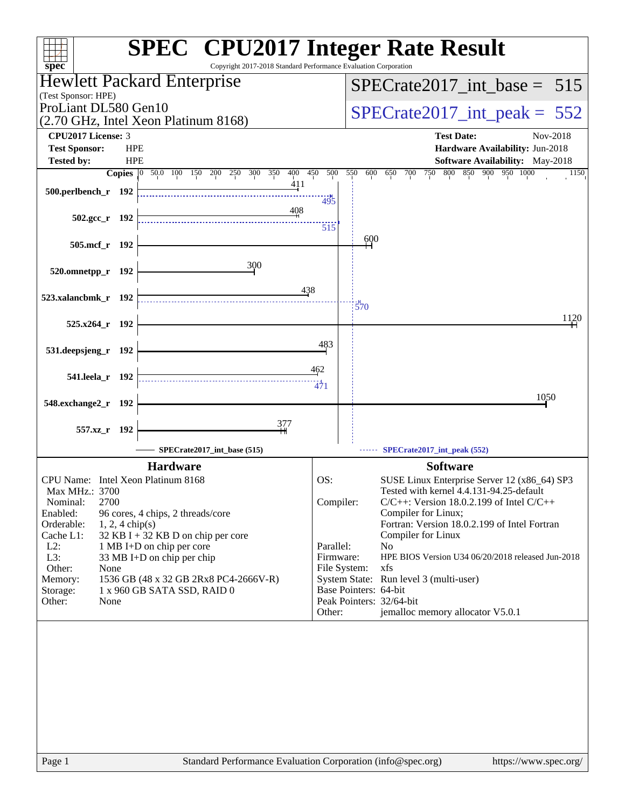| $spec^*$                                                                                    | <b>SPEC<sup>®</sup></b> CPU2017 Integer Rate Result<br>Copyright 2017-2018 Standard Performance Evaluation Corporation  |
|---------------------------------------------------------------------------------------------|-------------------------------------------------------------------------------------------------------------------------|
| Hewlett Packard Enterprise                                                                  | $SPECrate2017\_int\_base = 515$                                                                                         |
| (Test Sponsor: HPE)                                                                         |                                                                                                                         |
| ProLiant DL580 Gen10<br>(2.70 GHz, Intel Xeon Platinum 8168)                                | $SPECrate2017\_int\_peak = 552$                                                                                         |
| <b>CPU2017 License: 3</b>                                                                   | <b>Test Date:</b><br>Nov-2018                                                                                           |
| <b>Test Sponsor:</b><br><b>HPE</b>                                                          | Hardware Availability: Jun-2018                                                                                         |
| <b>HPE</b><br><b>Tested by:</b><br>0 50.0 100 150 200 250 300 350<br><b>Copies</b>          | Software Availability: May-2018<br>400<br>500<br>800 850 900 950 1000<br>450<br>550<br>600<br>650<br>700<br>750<br>1150 |
|                                                                                             | 411                                                                                                                     |
| 500.perlbench_r 192                                                                         | 495                                                                                                                     |
| $502.\text{gcc r}$ 192                                                                      | 408                                                                                                                     |
|                                                                                             | 515<br>600                                                                                                              |
| 505.mcf_r 192                                                                               |                                                                                                                         |
| 300<br>520.omnetpp_r 192                                                                    |                                                                                                                         |
|                                                                                             |                                                                                                                         |
| 523.xalancbmk_r 192                                                                         | 438<br>$\frac{1}{570}$                                                                                                  |
|                                                                                             | 1120                                                                                                                    |
| 525.x264 r 192                                                                              |                                                                                                                         |
| 531.deepsjeng_r 192                                                                         | 483                                                                                                                     |
|                                                                                             | 462                                                                                                                     |
| 541.leela r 192                                                                             | $\frac{11}{471}$                                                                                                        |
| 548.exchange2_r<br>- 192                                                                    | 1050                                                                                                                    |
|                                                                                             |                                                                                                                         |
| 377<br>557.xz_r 192                                                                         |                                                                                                                         |
| SPECrate2017_int_base (515)                                                                 | SPECrate2017_int_peak (552)                                                                                             |
| <b>Hardware</b>                                                                             | <b>Software</b>                                                                                                         |
| CPU Name: Intel Xeon Platinum 8168                                                          | OS:<br>SUSE Linux Enterprise Server 12 (x86_64) SP3                                                                     |
| Max MHz.: 3700<br>2700<br>Nominal:                                                          | Tested with kernel 4.4.131-94.25-default<br>Compiler:<br>$C/C++$ : Version 18.0.2.199 of Intel $C/C++$                  |
| Enabled:<br>96 cores, 4 chips, 2 threads/core                                               | Compiler for Linux;                                                                                                     |
| Orderable:<br>$1, 2, 4$ chip(s)                                                             | Fortran: Version 18.0.2.199 of Intel Fortran                                                                            |
| Cache L1:<br>32 KB I + 32 KB D on chip per core<br>$L2$ :<br>1 MB I+D on chip per core      | Compiler for Linux<br>Parallel:<br>N <sub>0</sub>                                                                       |
| L3:<br>33 MB I+D on chip per chip                                                           | HPE BIOS Version U34 06/20/2018 released Jun-2018<br>Firmware:                                                          |
| Other:<br>None                                                                              | File System:<br>xfs                                                                                                     |
| 1536 GB (48 x 32 GB 2Rx8 PC4-2666V-R)<br>Memory:<br>Storage:<br>1 x 960 GB SATA SSD, RAID 0 | System State: Run level 3 (multi-user)<br>Base Pointers: 64-bit                                                         |
| Other:<br>None                                                                              | Peak Pointers: 32/64-bit                                                                                                |
|                                                                                             | jemalloc memory allocator V5.0.1<br>Other:                                                                              |
|                                                                                             |                                                                                                                         |
|                                                                                             |                                                                                                                         |
|                                                                                             |                                                                                                                         |
| Page 1                                                                                      | Standard Performance Evaluation Corporation (info@spec.org)<br>https://www.spec.org/                                    |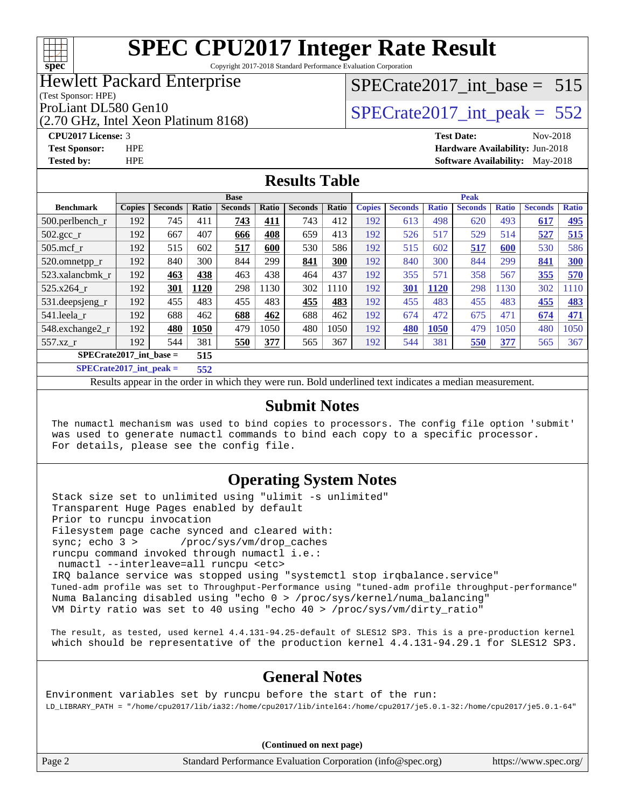

Copyright 2017-2018 Standard Performance Evaluation Corporation

### Hewlett Packard Enterprise

(Test Sponsor: HPE)

(2.70 GHz, Intel Xeon Platinum 8168)

[SPECrate2017\\_int\\_base =](http://www.spec.org/auto/cpu2017/Docs/result-fields.html#SPECrate2017intbase) 515

# ProLiant DL580 Gen10<br>  $SPECrate2017$ \_int\_peak = 552

**[CPU2017 License:](http://www.spec.org/auto/cpu2017/Docs/result-fields.html#CPU2017License)** 3 **[Test Date:](http://www.spec.org/auto/cpu2017/Docs/result-fields.html#TestDate)** Nov-2018 **[Test Sponsor:](http://www.spec.org/auto/cpu2017/Docs/result-fields.html#TestSponsor)** HPE **[Hardware Availability:](http://www.spec.org/auto/cpu2017/Docs/result-fields.html#HardwareAvailability)** Jun-2018 **[Tested by:](http://www.spec.org/auto/cpu2017/Docs/result-fields.html#Testedby)** HPE **HPE [Software Availability:](http://www.spec.org/auto/cpu2017/Docs/result-fields.html#SoftwareAvailability)** May-2018

#### **[Results Table](http://www.spec.org/auto/cpu2017/Docs/result-fields.html#ResultsTable)**

|                                          | <b>Base</b>   |                |       |                | <b>Peak</b> |                |       |               |                |              |                |              |                |              |
|------------------------------------------|---------------|----------------|-------|----------------|-------------|----------------|-------|---------------|----------------|--------------|----------------|--------------|----------------|--------------|
| <b>Benchmark</b>                         | <b>Copies</b> | <b>Seconds</b> | Ratio | <b>Seconds</b> | Ratio       | <b>Seconds</b> | Ratio | <b>Copies</b> | <b>Seconds</b> | <b>Ratio</b> | <b>Seconds</b> | <b>Ratio</b> | <b>Seconds</b> | <b>Ratio</b> |
| $500.$ perlbench_r                       | 192           | 745            | 411   | 743            | 411         | 743            | 412   | 192           | 613            | 498          | 620            | 493          | 617            | <u>495</u>   |
| $502.\text{gcc}_r$                       | 192           | 667            | 407   | 666            | 408         | 659            | 413   | 192           | 526            | 517          | 529            | 514          | 527            | 515          |
| $505$ .mcf r                             | 192           | 515            | 602   | 517            | 600         | 530            | 586   | 192           | 515            | 602          | 517            | 600          | 530            | 586          |
| 520.omnetpp_r                            | 192           | 840            | 300   | 844            | 299         | 841            | 300   | 192           | 840            | 300          | 844            | 299          | 841            | 300          |
| 523.xalancbmk_r                          | 192           | 463            | 438   | 463            | 438         | 464            | 437   | 192           | 355            | 571          | 358            | 567          | 355            | 570          |
| $525.x264$ r                             | 192           | 301            | 1120  | 298            | 1130        | 302            | 1110  | 192           | 301            | 1120         | 298            | 1130         | 302            | 1110         |
| 531.deepsjeng_r                          | 192           | 455            | 483   | 455            | 483         | 455            | 483   | 192           | 455            | 483          | 455            | 483          | 455            | <b>483</b>   |
| 541.leela r                              | 192           | 688            | 462   | 688            | 462         | 688            | 462   | 192           | 674            | 472          | 675            | 471          | 674            | 471          |
| 548.exchange2_r                          | 192           | 480            | 1050  | 479            | 1050        | 480            | 1050  | 192           | 480            | 1050         | 479            | 1050         | 480            | 1050         |
| 557.xz r                                 | 192           | 544            | 381   | 550            | 377         | 565            | 367   | 192           | 544            | 381          | 550            | 377          | 565            | 367          |
| $SPECrate2017$ int base =<br>515         |               |                |       |                |             |                |       |               |                |              |                |              |                |              |
| $CDFC_{\text{sub}} + 2017$ intervals $=$ |               |                | EEA.  |                |             |                |       |               |                |              |                |              |                |              |

**[SPECrate2017\\_int\\_peak =](http://www.spec.org/auto/cpu2017/Docs/result-fields.html#SPECrate2017intpeak) 552**

Results appear in the [order in which they were run](http://www.spec.org/auto/cpu2017/Docs/result-fields.html#RunOrder). Bold underlined text [indicates a median measurement](http://www.spec.org/auto/cpu2017/Docs/result-fields.html#Median).

#### **[Submit Notes](http://www.spec.org/auto/cpu2017/Docs/result-fields.html#SubmitNotes)**

 The numactl mechanism was used to bind copies to processors. The config file option 'submit' was used to generate numactl commands to bind each copy to a specific processor. For details, please see the config file.

### **[Operating System Notes](http://www.spec.org/auto/cpu2017/Docs/result-fields.html#OperatingSystemNotes)**

 Stack size set to unlimited using "ulimit -s unlimited" Transparent Huge Pages enabled by default Prior to runcpu invocation Filesystem page cache synced and cleared with: sync; echo 3 > /proc/sys/vm/drop\_caches runcpu command invoked through numactl i.e.: numactl --interleave=all runcpu <etc> IRQ balance service was stopped using "systemctl stop irqbalance.service" Tuned-adm profile was set to Throughput-Performance using "tuned-adm profile throughput-performance" Numa Balancing disabled using "echo 0 > /proc/sys/kernel/numa\_balancing" VM Dirty ratio was set to 40 using "echo 40 > /proc/sys/vm/dirty\_ratio"

 The result, as tested, used kernel 4.4.131-94.25-default of SLES12 SP3. This is a pre-production kernel which should be representative of the production kernel 4.4.131-94.29.1 for SLES12 SP3.

### **[General Notes](http://www.spec.org/auto/cpu2017/Docs/result-fields.html#GeneralNotes)**

Environment variables set by runcpu before the start of the run: LD\_LIBRARY\_PATH = "/home/cpu2017/lib/ia32:/home/cpu2017/lib/intel64:/home/cpu2017/je5.0.1-32:/home/cpu2017/je5.0.1-64"

**(Continued on next page)**

Page 2 Standard Performance Evaluation Corporation [\(info@spec.org\)](mailto:info@spec.org) <https://www.spec.org/>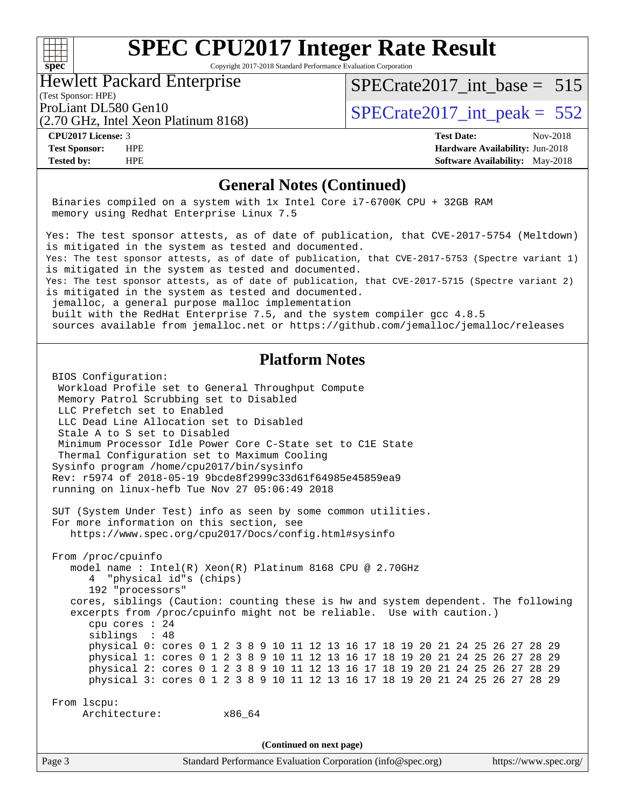#### $\begin{matrix} & \ + \ + \end{matrix}$ **[spec](http://www.spec.org/)**

# **[SPEC CPU2017 Integer Rate Result](http://www.spec.org/auto/cpu2017/Docs/result-fields.html#SPECCPU2017IntegerRateResult)**

Copyright 2017-2018 Standard Performance Evaluation Corporation

Hewlett Packard Enterprise

(2.70 GHz, Intel Xeon Platinum 8168)

[SPECrate2017\\_int\\_base =](http://www.spec.org/auto/cpu2017/Docs/result-fields.html#SPECrate2017intbase) 515

(Test Sponsor: HPE)

ProLiant DL580 Gen10  $\text{SPECrate2017\_int\_peak} = 552$ 

**[CPU2017 License:](http://www.spec.org/auto/cpu2017/Docs/result-fields.html#CPU2017License)** 3 **[Test Date:](http://www.spec.org/auto/cpu2017/Docs/result-fields.html#TestDate)** Nov-2018 **[Test Sponsor:](http://www.spec.org/auto/cpu2017/Docs/result-fields.html#TestSponsor)** HPE **[Hardware Availability:](http://www.spec.org/auto/cpu2017/Docs/result-fields.html#HardwareAvailability)** Jun-2018 **[Tested by:](http://www.spec.org/auto/cpu2017/Docs/result-fields.html#Testedby)** HPE **[Software Availability:](http://www.spec.org/auto/cpu2017/Docs/result-fields.html#SoftwareAvailability)** May-2018

#### **[General Notes \(Continued\)](http://www.spec.org/auto/cpu2017/Docs/result-fields.html#GeneralNotes)**

 Binaries compiled on a system with 1x Intel Core i7-6700K CPU + 32GB RAM memory using Redhat Enterprise Linux 7.5

Yes: The test sponsor attests, as of date of publication, that CVE-2017-5754 (Meltdown) is mitigated in the system as tested and documented. Yes: The test sponsor attests, as of date of publication, that CVE-2017-5753 (Spectre variant 1) is mitigated in the system as tested and documented. Yes: The test sponsor attests, as of date of publication, that CVE-2017-5715 (Spectre variant 2) is mitigated in the system as tested and documented.

jemalloc, a general purpose malloc implementation

 built with the RedHat Enterprise 7.5, and the system compiler gcc 4.8.5 sources available from jemalloc.net or<https://github.com/jemalloc/jemalloc/releases>

#### **[Platform Notes](http://www.spec.org/auto/cpu2017/Docs/result-fields.html#PlatformNotes)**

Page 3 Standard Performance Evaluation Corporation [\(info@spec.org\)](mailto:info@spec.org) <https://www.spec.org/> BIOS Configuration: Workload Profile set to General Throughput Compute Memory Patrol Scrubbing set to Disabled LLC Prefetch set to Enabled LLC Dead Line Allocation set to Disabled Stale A to S set to Disabled Minimum Processor Idle Power Core C-State set to C1E State Thermal Configuration set to Maximum Cooling Sysinfo program /home/cpu2017/bin/sysinfo Rev: r5974 of 2018-05-19 9bcde8f2999c33d61f64985e45859ea9 running on linux-hefb Tue Nov 27 05:06:49 2018 SUT (System Under Test) info as seen by some common utilities. For more information on this section, see <https://www.spec.org/cpu2017/Docs/config.html#sysinfo> From /proc/cpuinfo model name : Intel(R) Xeon(R) Platinum 8168 CPU @ 2.70GHz 4 "physical id"s (chips) 192 "processors" cores, siblings (Caution: counting these is hw and system dependent. The following excerpts from /proc/cpuinfo might not be reliable. Use with caution.) cpu cores : 24 siblings : 48 physical 0: cores 0 1 2 3 8 9 10 11 12 13 16 17 18 19 20 21 24 25 26 27 28 29 physical 1: cores 0 1 2 3 8 9 10 11 12 13 16 17 18 19 20 21 24 25 26 27 28 29 physical 2: cores 0 1 2 3 8 9 10 11 12 13 16 17 18 19 20 21 24 25 26 27 28 29 physical 3: cores 0 1 2 3 8 9 10 11 12 13 16 17 18 19 20 21 24 25 26 27 28 29 From lscpu: Architecture: x86\_64 **(Continued on next page)**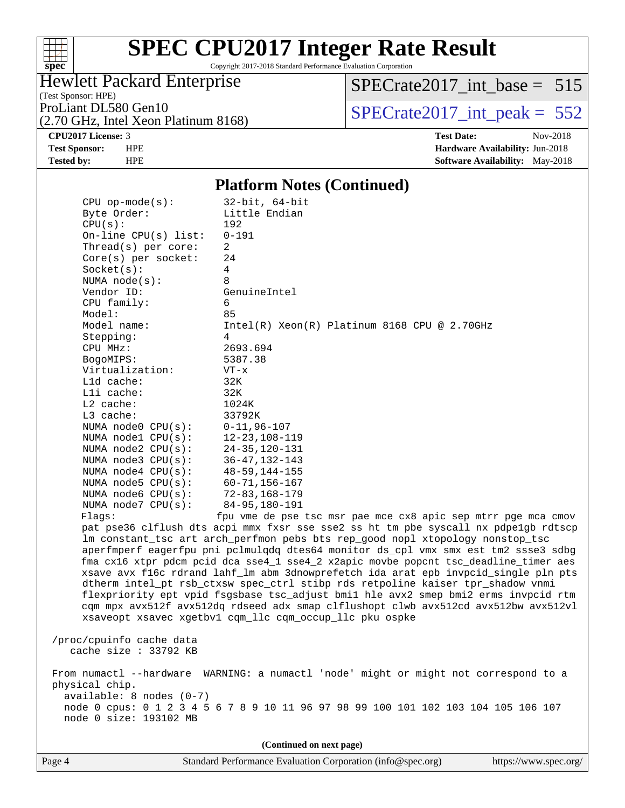

Copyright 2017-2018 Standard Performance Evaluation Corporation

### Hewlett Packard Enterprise

(Test Sponsor: HPE)

(2.70 GHz, Intel Xeon Platinum 8168)

[SPECrate2017\\_int\\_base =](http://www.spec.org/auto/cpu2017/Docs/result-fields.html#SPECrate2017intbase) 515

ProLiant DL580 Gen10<br>  $(2.70 \text{ GHz})$  Intel Xeon Platinum 8168)  $\vert$  [SPECrate2017\\_int\\_peak =](http://www.spec.org/auto/cpu2017/Docs/result-fields.html#SPECrate2017intpeak) 552

**[CPU2017 License:](http://www.spec.org/auto/cpu2017/Docs/result-fields.html#CPU2017License)** 3 **[Test Date:](http://www.spec.org/auto/cpu2017/Docs/result-fields.html#TestDate)** Nov-2018 **[Test Sponsor:](http://www.spec.org/auto/cpu2017/Docs/result-fields.html#TestSponsor)** HPE **[Hardware Availability:](http://www.spec.org/auto/cpu2017/Docs/result-fields.html#HardwareAvailability)** Jun-2018 **[Tested by:](http://www.spec.org/auto/cpu2017/Docs/result-fields.html#Testedby)** HPE **[Software Availability:](http://www.spec.org/auto/cpu2017/Docs/result-fields.html#SoftwareAvailability)** May-2018

#### **[Platform Notes \(Continued\)](http://www.spec.org/auto/cpu2017/Docs/result-fields.html#PlatformNotes)**

| $CPU$ op-mode( $s$ ):<br>Byte Order: | $32$ -bit, $64$ -bit<br>Little Endian                                                                                                                                      |
|--------------------------------------|----------------------------------------------------------------------------------------------------------------------------------------------------------------------------|
| CPU(s):                              | 192                                                                                                                                                                        |
| On-line $CPU(s)$ list:               | $0 - 191$                                                                                                                                                                  |
| Thread(s) per core:                  | 2                                                                                                                                                                          |
| $Core(s)$ per socket:                | 24                                                                                                                                                                         |
| Socket(s):                           | 4                                                                                                                                                                          |
| NUMA $node(s):$                      | 8                                                                                                                                                                          |
| Vendor ID:                           | GenuineIntel                                                                                                                                                               |
| CPU family:                          | 6                                                                                                                                                                          |
| Model:                               | 85                                                                                                                                                                         |
| Model name:                          | $Intel(R) Xeon(R) Platinum 8168 CPU @ 2.70GHz$                                                                                                                             |
| Stepping:                            | 4                                                                                                                                                                          |
| CPU MHz:                             | 2693.694                                                                                                                                                                   |
| BogoMIPS:                            | 5387.38                                                                                                                                                                    |
| Virtualization:                      | $VT - x$                                                                                                                                                                   |
| L1d cache:                           | 32K                                                                                                                                                                        |
| Lli cache:<br>$L2$ cache:            | 32K<br>1024K                                                                                                                                                               |
| L3 cache:                            | 33792K                                                                                                                                                                     |
| NUMA node0 CPU(s):                   | $0 - 11, 96 - 107$                                                                                                                                                         |
| NUMA nodel CPU(s):                   | $12 - 23, 108 - 119$                                                                                                                                                       |
| NUMA node2 CPU(s):                   | $24 - 35, 120 - 131$                                                                                                                                                       |
| NUMA $node3$ $CPU(s):$               | $36 - 47, 132 - 143$                                                                                                                                                       |
| NUMA $node4$ $CPU(s):$               | $48 - 59, 144 - 155$                                                                                                                                                       |
| NUMA node5 CPU(s):                   | $60 - 71, 156 - 167$                                                                                                                                                       |
| NUMA node6 $CPU(s):$                 | $72 - 83, 168 - 179$                                                                                                                                                       |
| NUMA $node7$ CPU $(s)$ :             | 84-95,180-191                                                                                                                                                              |
| Flagg:                               | fpu vme de pse tsc msr pae mce cx8 apic sep mtrr pge mca cmov                                                                                                              |
|                                      | pat pse36 clflush dts acpi mmx fxsr sse sse2 ss ht tm pbe syscall nx pdpelgb rdtscp                                                                                        |
|                                      | lm constant_tsc art arch_perfmon pebs bts rep_good nopl xtopology nonstop_tsc                                                                                              |
|                                      | aperfmperf eagerfpu pni pclmulqdq dtes64 monitor ds_cpl vmx smx est tm2 ssse3 sdbg<br>fma cx16 xtpr pdcm pcid dca sse4_1 sse4_2 x2apic movbe popcnt tsc_deadline_timer aes |
|                                      | xsave avx f16c rdrand lahf_lm abm 3dnowprefetch ida arat epb invpcid_single pln pts                                                                                        |
|                                      | dtherm intel_pt rsb_ctxsw spec_ctrl stibp rds retpoline kaiser tpr_shadow vnmi                                                                                             |
|                                      | flexpriority ept vpid fsgsbase tsc_adjust bmil hle avx2 smep bmi2 erms invpcid rtm                                                                                         |
|                                      | cqm mpx avx512f avx512dq rdseed adx smap clflushopt clwb avx512cd avx512bw avx512vl                                                                                        |
|                                      | xsaveopt xsavec xgetbvl cqm_llc cqm_occup_llc pku ospke                                                                                                                    |
|                                      |                                                                                                                                                                            |
| /proc/cpuinfo cache data             |                                                                                                                                                                            |
| cache size : 33792 KB                |                                                                                                                                                                            |
|                                      | From numactl --hardware WARNING: a numactl 'node' might or might not correspond to a                                                                                       |
| physical chip.                       |                                                                                                                                                                            |
| $available: 8 nodes (0-7)$           |                                                                                                                                                                            |
|                                      | node 0 cpus: 0 1 2 3 4 5 6 7 8 9 10 11 96 97 98 99 100 101 102 103 104 105 106 107                                                                                         |
| node 0 size: 193102 MB               |                                                                                                                                                                            |
|                                      |                                                                                                                                                                            |
|                                      | (Continued on next page)                                                                                                                                                   |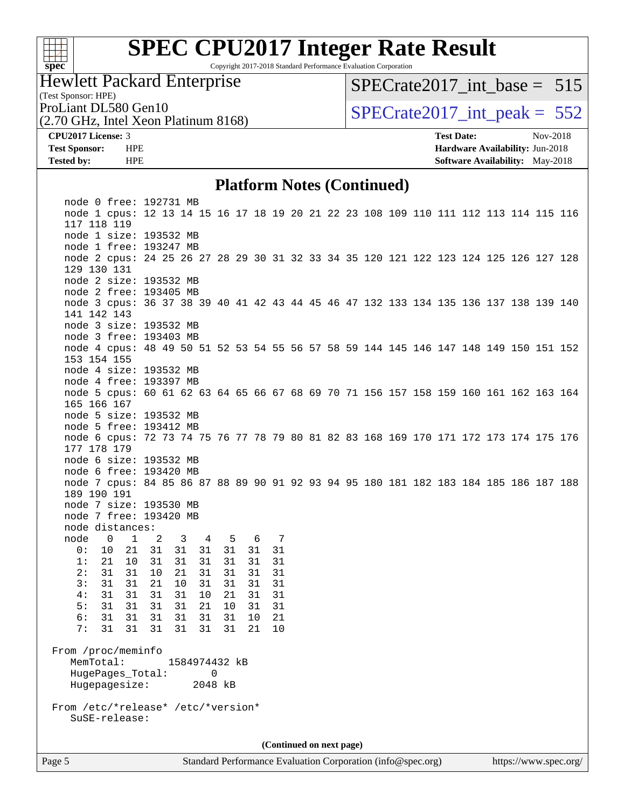

Copyright 2017-2018 Standard Performance Evaluation Corporation

Hewlett Packard Enterprise

[SPECrate2017\\_int\\_base =](http://www.spec.org/auto/cpu2017/Docs/result-fields.html#SPECrate2017intbase) 515

(Test Sponsor: HPE)

(2.70 GHz, Intel Xeon Platinum 8168) ProLiant DL580 Gen10<br>  $SPECTate2017$ \_int\_peak = 552

**[CPU2017 License:](http://www.spec.org/auto/cpu2017/Docs/result-fields.html#CPU2017License)** 3 **[Test Date:](http://www.spec.org/auto/cpu2017/Docs/result-fields.html#TestDate)** Nov-2018

**[Test Sponsor:](http://www.spec.org/auto/cpu2017/Docs/result-fields.html#TestSponsor)** HPE **[Hardware Availability:](http://www.spec.org/auto/cpu2017/Docs/result-fields.html#HardwareAvailability)** Jun-2018 **[Tested by:](http://www.spec.org/auto/cpu2017/Docs/result-fields.html#Testedby)** HPE **[Software Availability:](http://www.spec.org/auto/cpu2017/Docs/result-fields.html#SoftwareAvailability)** May-2018

#### **[Platform Notes \(Continued\)](http://www.spec.org/auto/cpu2017/Docs/result-fields.html#PlatformNotes)**

Page 5 Standard Performance Evaluation Corporation [\(info@spec.org\)](mailto:info@spec.org) <https://www.spec.org/>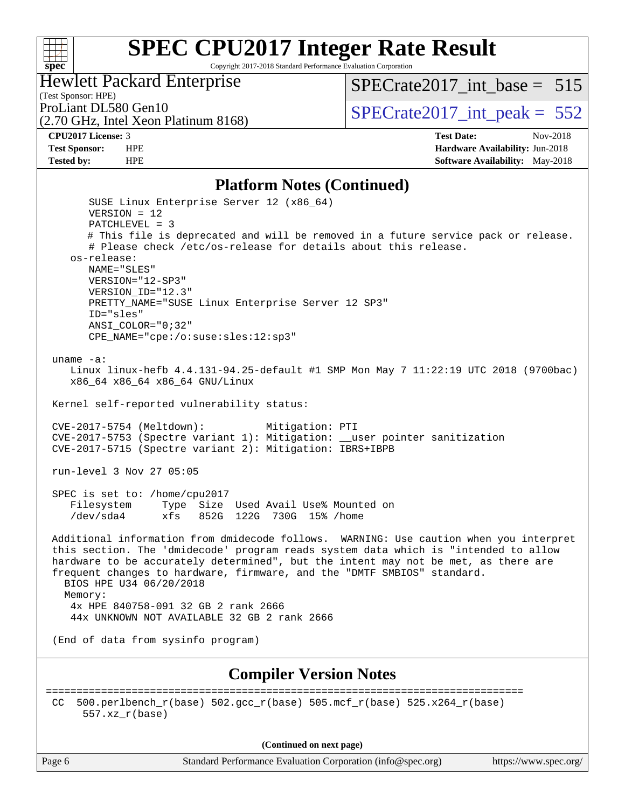

Copyright 2017-2018 Standard Performance Evaluation Corporation

### Hewlett Packard Enterprise

(Test Sponsor: HPE)

[SPECrate2017\\_int\\_base =](http://www.spec.org/auto/cpu2017/Docs/result-fields.html#SPECrate2017intbase) 515

(2.70 GHz, Intel Xeon Platinum 8168)

ProLiant DL580 Gen10<br>  $(2.70 \text{ GHz})$  Intel Xeon Platinum 8168) SPECrate 2017\_int\_peak = 552

**[CPU2017 License:](http://www.spec.org/auto/cpu2017/Docs/result-fields.html#CPU2017License)** 3 **[Test Date:](http://www.spec.org/auto/cpu2017/Docs/result-fields.html#TestDate)** Nov-2018 **[Test Sponsor:](http://www.spec.org/auto/cpu2017/Docs/result-fields.html#TestSponsor)** HPE **[Hardware Availability:](http://www.spec.org/auto/cpu2017/Docs/result-fields.html#HardwareAvailability)** Jun-2018 **[Tested by:](http://www.spec.org/auto/cpu2017/Docs/result-fields.html#Testedby)** HPE **[Software Availability:](http://www.spec.org/auto/cpu2017/Docs/result-fields.html#SoftwareAvailability)** May-2018

#### **[Platform Notes \(Continued\)](http://www.spec.org/auto/cpu2017/Docs/result-fields.html#PlatformNotes)**

| Thursday (Community)                                                                                                                                                                                                                                                                                                                                                                 |
|--------------------------------------------------------------------------------------------------------------------------------------------------------------------------------------------------------------------------------------------------------------------------------------------------------------------------------------------------------------------------------------|
| SUSE Linux Enterprise Server 12 (x86_64)<br>$VERSION = 12$                                                                                                                                                                                                                                                                                                                           |
| PATCHLEVEL = 3<br># This file is deprecated and will be removed in a future service pack or release.<br># Please check /etc/os-release for details about this release.<br>os-release:                                                                                                                                                                                                |
| NAME="SLES"<br>VERSION="12-SP3"<br>VERSION ID="12.3"                                                                                                                                                                                                                                                                                                                                 |
| PRETTY_NAME="SUSE Linux Enterprise Server 12 SP3"<br>ID="sles"<br>ANSI_COLOR="0;32"<br>CPE_NAME="cpe:/o:suse:sles:12:sp3"                                                                                                                                                                                                                                                            |
|                                                                                                                                                                                                                                                                                                                                                                                      |
| uname $-a$ :<br>Linux linux-hefb 4.4.131-94.25-default #1 SMP Mon May 7 11:22:19 UTC 2018 (9700bac)<br>x86_64 x86_64 x86_64 GNU/Linux                                                                                                                                                                                                                                                |
| Kernel self-reported vulnerability status:                                                                                                                                                                                                                                                                                                                                           |
| CVE-2017-5754 (Meltdown):<br>Mitigation: PTI<br>CVE-2017-5753 (Spectre variant 1): Mitigation: __user pointer sanitization<br>CVE-2017-5715 (Spectre variant 2): Mitigation: IBRS+IBPB                                                                                                                                                                                               |
| run-level 3 Nov 27 05:05                                                                                                                                                                                                                                                                                                                                                             |
| SPEC is set to: /home/cpu2017<br>Filesystem<br>Type Size Used Avail Use% Mounted on<br>$/\text{dev/sda4}$<br>xfs 852G 122G 730G 15% / home                                                                                                                                                                                                                                           |
| Additional information from dmidecode follows. WARNING: Use caution when you interpret<br>this section. The 'dmidecode' program reads system data which is "intended to allow<br>hardware to be accurately determined", but the intent may not be met, as there are<br>frequent changes to hardware, firmware, and the "DMTF SMBIOS" standard.<br>BIOS HPE U34 06/20/2018<br>Memory: |
| 4x HPE 840758-091 32 GB 2 rank 2666<br>44x UNKNOWN NOT AVAILABLE 32 GB 2 rank 2666                                                                                                                                                                                                                                                                                                   |
| (End of data from sysinfo program)                                                                                                                                                                                                                                                                                                                                                   |
| <b>Compiler Version Notes</b>                                                                                                                                                                                                                                                                                                                                                        |
| ================<br>500.perlbench_r(base) 502.gcc_r(base) 505.mcf_r(base) 525.x264_r(base)<br>CC.<br>$557.xx$ $r(base)$                                                                                                                                                                                                                                                              |
|                                                                                                                                                                                                                                                                                                                                                                                      |

**(Continued on next page)**

Page 6 Standard Performance Evaluation Corporation [\(info@spec.org\)](mailto:info@spec.org) <https://www.spec.org/>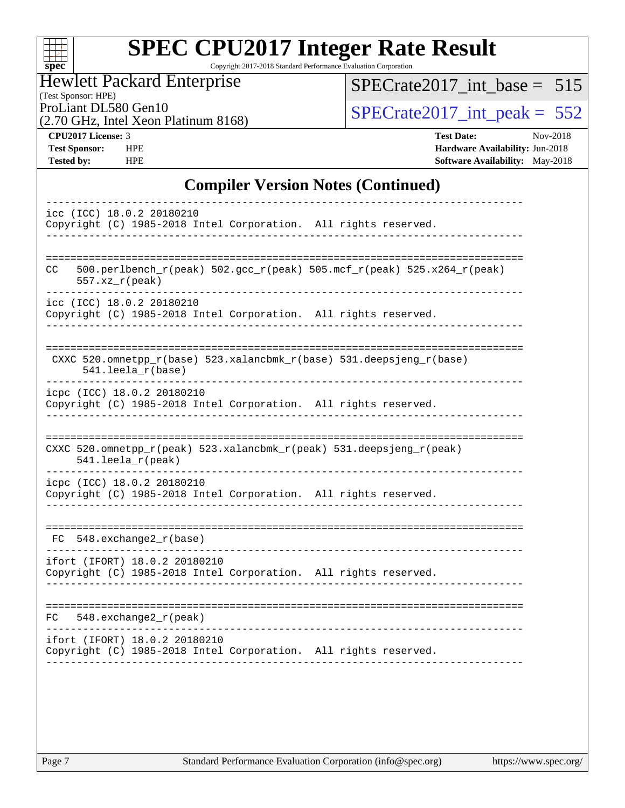| Sì | U | ť | C |  |
|----|---|---|---|--|

Copyright 2017-2018 Standard Performance Evaluation Corporation

(Test Sponsor: HPE) Hewlett Packard Enterprise

[SPECrate2017\\_int\\_base =](http://www.spec.org/auto/cpu2017/Docs/result-fields.html#SPECrate2017intbase) 515

(2.70 GHz, Intel Xeon Platinum 8168)

ProLiant DL580 Gen10<br>  $(2.70 \text{ GHz})$  Intel Xeon Platinum 8168) SPECrate 2017\_int\_peak = 552

**[CPU2017 License:](http://www.spec.org/auto/cpu2017/Docs/result-fields.html#CPU2017License)** 3 **[Test Date:](http://www.spec.org/auto/cpu2017/Docs/result-fields.html#TestDate)** Nov-2018 **[Test Sponsor:](http://www.spec.org/auto/cpu2017/Docs/result-fields.html#TestSponsor)** HPE **[Hardware Availability:](http://www.spec.org/auto/cpu2017/Docs/result-fields.html#HardwareAvailability)** Jun-2018 **[Tested by:](http://www.spec.org/auto/cpu2017/Docs/result-fields.html#Testedby)** HPE **[Software Availability:](http://www.spec.org/auto/cpu2017/Docs/result-fields.html#SoftwareAvailability)** May-2018

#### **[Compiler Version Notes \(Continued\)](http://www.spec.org/auto/cpu2017/Docs/result-fields.html#CompilerVersionNotes)**

| icc (ICC) 18.0.2 20180210<br>Copyright (C) 1985-2018 Intel Corporation. All rights reserved.                          |
|-----------------------------------------------------------------------------------------------------------------------|
| 500.perlbench_r(peak) 502.gcc_r(peak) 505.mcf_r(peak) 525.x264_r(peak)<br>CC.<br>$557. xz_r (peak)$                   |
| icc (ICC) 18.0.2 20180210<br>Copyright (C) 1985-2018 Intel Corporation. All rights reserved.                          |
| CXXC 520.omnetpp_r(base) 523.xalancbmk_r(base) 531.deepsjeng_r(base)<br>541.leela_r(base)                             |
| icpc (ICC) 18.0.2 20180210<br>Copyright (C) 1985-2018 Intel Corporation. All rights reserved.                         |
| ---------------------<br>CXXC 520.omnetpp_r(peak) 523.xalancbmk_r(peak) 531.deepsjeng_r(peak)<br>$541.$ leela_r(peak) |
| icpc (ICC) 18.0.2 20180210<br>Copyright (C) 1985-2018 Intel Corporation. All rights reserved.                         |
| $FC$ 548. exchange $2$ <sub>r</sub> (base)                                                                            |
| ifort (IFORT) 18.0.2 20180210<br>Copyright (C) 1985-2018 Intel Corporation. All rights reserved.                      |
| $548$ . exchange $2r$ (peak)<br>FC                                                                                    |
| ifort (IFORT) 18.0.2 20180210<br>Copyright (C) 1985-2018 Intel Corporation. All rights reserved.                      |
|                                                                                                                       |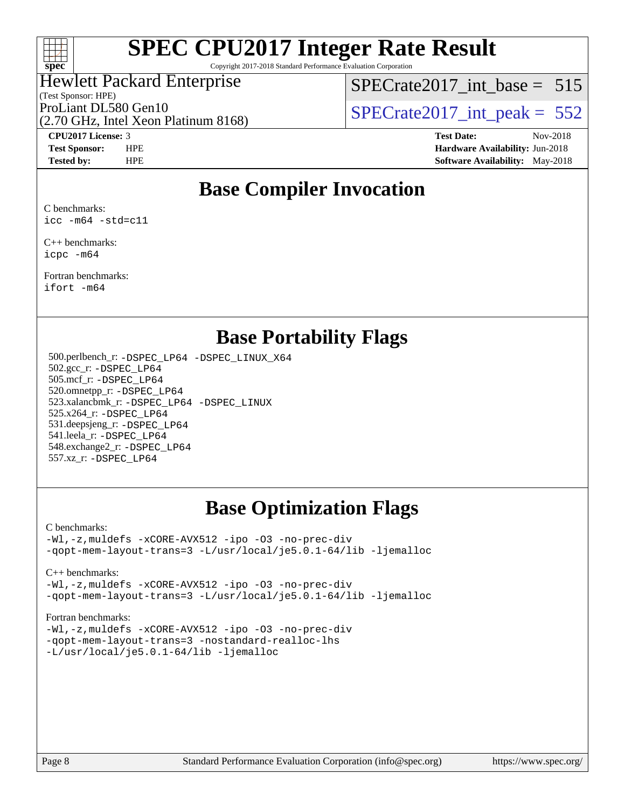

Copyright 2017-2018 Standard Performance Evaluation Corporation

## Hewlett Packard Enterprise

(Test Sponsor: HPE)

[SPECrate2017\\_int\\_base =](http://www.spec.org/auto/cpu2017/Docs/result-fields.html#SPECrate2017intbase) 515

(2.70 GHz, Intel Xeon Platinum 8168) ProLiant DL580 Gen10<br>  $\sqrt{270 \text{ GHz}}$  Intel Yean Platinum 8168)  $\sqrt{SPECrate2017\_int\_peak} = 552$ 

**[CPU2017 License:](http://www.spec.org/auto/cpu2017/Docs/result-fields.html#CPU2017License)** 3 **[Test Date:](http://www.spec.org/auto/cpu2017/Docs/result-fields.html#TestDate)** Nov-2018 **[Test Sponsor:](http://www.spec.org/auto/cpu2017/Docs/result-fields.html#TestSponsor)** HPE **[Hardware Availability:](http://www.spec.org/auto/cpu2017/Docs/result-fields.html#HardwareAvailability)** Jun-2018 **[Tested by:](http://www.spec.org/auto/cpu2017/Docs/result-fields.html#Testedby)** HPE **[Software Availability:](http://www.spec.org/auto/cpu2017/Docs/result-fields.html#SoftwareAvailability)** May-2018

### **[Base Compiler Invocation](http://www.spec.org/auto/cpu2017/Docs/result-fields.html#BaseCompilerInvocation)**

[C benchmarks:](http://www.spec.org/auto/cpu2017/Docs/result-fields.html#Cbenchmarks) [icc -m64 -std=c11](http://www.spec.org/cpu2017/results/res2018q4/cpu2017-20181130-10007.flags.html#user_CCbase_intel_icc_64bit_c11_33ee0cdaae7deeeab2a9725423ba97205ce30f63b9926c2519791662299b76a0318f32ddfffdc46587804de3178b4f9328c46fa7c2b0cd779d7a61945c91cd35)

[C++ benchmarks:](http://www.spec.org/auto/cpu2017/Docs/result-fields.html#CXXbenchmarks) [icpc -m64](http://www.spec.org/cpu2017/results/res2018q4/cpu2017-20181130-10007.flags.html#user_CXXbase_intel_icpc_64bit_4ecb2543ae3f1412ef961e0650ca070fec7b7afdcd6ed48761b84423119d1bf6bdf5cad15b44d48e7256388bc77273b966e5eb805aefd121eb22e9299b2ec9d9)

[Fortran benchmarks](http://www.spec.org/auto/cpu2017/Docs/result-fields.html#Fortranbenchmarks): [ifort -m64](http://www.spec.org/cpu2017/results/res2018q4/cpu2017-20181130-10007.flags.html#user_FCbase_intel_ifort_64bit_24f2bb282fbaeffd6157abe4f878425411749daecae9a33200eee2bee2fe76f3b89351d69a8130dd5949958ce389cf37ff59a95e7a40d588e8d3a57e0c3fd751)

### **[Base Portability Flags](http://www.spec.org/auto/cpu2017/Docs/result-fields.html#BasePortabilityFlags)**

 500.perlbench\_r: [-DSPEC\\_LP64](http://www.spec.org/cpu2017/results/res2018q4/cpu2017-20181130-10007.flags.html#b500.perlbench_r_basePORTABILITY_DSPEC_LP64) [-DSPEC\\_LINUX\\_X64](http://www.spec.org/cpu2017/results/res2018q4/cpu2017-20181130-10007.flags.html#b500.perlbench_r_baseCPORTABILITY_DSPEC_LINUX_X64) 502.gcc\_r: [-DSPEC\\_LP64](http://www.spec.org/cpu2017/results/res2018q4/cpu2017-20181130-10007.flags.html#suite_basePORTABILITY502_gcc_r_DSPEC_LP64) 505.mcf\_r: [-DSPEC\\_LP64](http://www.spec.org/cpu2017/results/res2018q4/cpu2017-20181130-10007.flags.html#suite_basePORTABILITY505_mcf_r_DSPEC_LP64) 520.omnetpp\_r: [-DSPEC\\_LP64](http://www.spec.org/cpu2017/results/res2018q4/cpu2017-20181130-10007.flags.html#suite_basePORTABILITY520_omnetpp_r_DSPEC_LP64) 523.xalancbmk\_r: [-DSPEC\\_LP64](http://www.spec.org/cpu2017/results/res2018q4/cpu2017-20181130-10007.flags.html#suite_basePORTABILITY523_xalancbmk_r_DSPEC_LP64) [-DSPEC\\_LINUX](http://www.spec.org/cpu2017/results/res2018q4/cpu2017-20181130-10007.flags.html#b523.xalancbmk_r_baseCXXPORTABILITY_DSPEC_LINUX) 525.x264\_r: [-DSPEC\\_LP64](http://www.spec.org/cpu2017/results/res2018q4/cpu2017-20181130-10007.flags.html#suite_basePORTABILITY525_x264_r_DSPEC_LP64) 531.deepsjeng\_r: [-DSPEC\\_LP64](http://www.spec.org/cpu2017/results/res2018q4/cpu2017-20181130-10007.flags.html#suite_basePORTABILITY531_deepsjeng_r_DSPEC_LP64) 541.leela\_r: [-DSPEC\\_LP64](http://www.spec.org/cpu2017/results/res2018q4/cpu2017-20181130-10007.flags.html#suite_basePORTABILITY541_leela_r_DSPEC_LP64) 548.exchange2\_r: [-DSPEC\\_LP64](http://www.spec.org/cpu2017/results/res2018q4/cpu2017-20181130-10007.flags.html#suite_basePORTABILITY548_exchange2_r_DSPEC_LP64) 557.xz\_r: [-DSPEC\\_LP64](http://www.spec.org/cpu2017/results/res2018q4/cpu2017-20181130-10007.flags.html#suite_basePORTABILITY557_xz_r_DSPEC_LP64)

### **[Base Optimization Flags](http://www.spec.org/auto/cpu2017/Docs/result-fields.html#BaseOptimizationFlags)**

#### [C benchmarks](http://www.spec.org/auto/cpu2017/Docs/result-fields.html#Cbenchmarks):

[-Wl,-z,muldefs](http://www.spec.org/cpu2017/results/res2018q4/cpu2017-20181130-10007.flags.html#user_CCbase_link_force_multiple1_b4cbdb97b34bdee9ceefcfe54f4c8ea74255f0b02a4b23e853cdb0e18eb4525ac79b5a88067c842dd0ee6996c24547a27a4b99331201badda8798ef8a743f577) [-xCORE-AVX512](http://www.spec.org/cpu2017/results/res2018q4/cpu2017-20181130-10007.flags.html#user_CCbase_f-xCORE-AVX512) [-ipo](http://www.spec.org/cpu2017/results/res2018q4/cpu2017-20181130-10007.flags.html#user_CCbase_f-ipo) [-O3](http://www.spec.org/cpu2017/results/res2018q4/cpu2017-20181130-10007.flags.html#user_CCbase_f-O3) [-no-prec-div](http://www.spec.org/cpu2017/results/res2018q4/cpu2017-20181130-10007.flags.html#user_CCbase_f-no-prec-div) [-qopt-mem-layout-trans=3](http://www.spec.org/cpu2017/results/res2018q4/cpu2017-20181130-10007.flags.html#user_CCbase_f-qopt-mem-layout-trans_de80db37974c74b1f0e20d883f0b675c88c3b01e9d123adea9b28688d64333345fb62bc4a798493513fdb68f60282f9a726aa07f478b2f7113531aecce732043) [-L/usr/local/je5.0.1-64/lib](http://www.spec.org/cpu2017/results/res2018q4/cpu2017-20181130-10007.flags.html#user_CCbase_jemalloc_link_path64_4b10a636b7bce113509b17f3bd0d6226c5fb2346b9178c2d0232c14f04ab830f976640479e5c33dc2bcbbdad86ecfb6634cbbd4418746f06f368b512fced5394) [-ljemalloc](http://www.spec.org/cpu2017/results/res2018q4/cpu2017-20181130-10007.flags.html#user_CCbase_jemalloc_link_lib_d1249b907c500fa1c0672f44f562e3d0f79738ae9e3c4a9c376d49f265a04b9c99b167ecedbf6711b3085be911c67ff61f150a17b3472be731631ba4d0471706)

[C++ benchmarks:](http://www.spec.org/auto/cpu2017/Docs/result-fields.html#CXXbenchmarks)

[-Wl,-z,muldefs](http://www.spec.org/cpu2017/results/res2018q4/cpu2017-20181130-10007.flags.html#user_CXXbase_link_force_multiple1_b4cbdb97b34bdee9ceefcfe54f4c8ea74255f0b02a4b23e853cdb0e18eb4525ac79b5a88067c842dd0ee6996c24547a27a4b99331201badda8798ef8a743f577) [-xCORE-AVX512](http://www.spec.org/cpu2017/results/res2018q4/cpu2017-20181130-10007.flags.html#user_CXXbase_f-xCORE-AVX512) [-ipo](http://www.spec.org/cpu2017/results/res2018q4/cpu2017-20181130-10007.flags.html#user_CXXbase_f-ipo) [-O3](http://www.spec.org/cpu2017/results/res2018q4/cpu2017-20181130-10007.flags.html#user_CXXbase_f-O3) [-no-prec-div](http://www.spec.org/cpu2017/results/res2018q4/cpu2017-20181130-10007.flags.html#user_CXXbase_f-no-prec-div) [-qopt-mem-layout-trans=3](http://www.spec.org/cpu2017/results/res2018q4/cpu2017-20181130-10007.flags.html#user_CXXbase_f-qopt-mem-layout-trans_de80db37974c74b1f0e20d883f0b675c88c3b01e9d123adea9b28688d64333345fb62bc4a798493513fdb68f60282f9a726aa07f478b2f7113531aecce732043) [-L/usr/local/je5.0.1-64/lib](http://www.spec.org/cpu2017/results/res2018q4/cpu2017-20181130-10007.flags.html#user_CXXbase_jemalloc_link_path64_4b10a636b7bce113509b17f3bd0d6226c5fb2346b9178c2d0232c14f04ab830f976640479e5c33dc2bcbbdad86ecfb6634cbbd4418746f06f368b512fced5394) [-ljemalloc](http://www.spec.org/cpu2017/results/res2018q4/cpu2017-20181130-10007.flags.html#user_CXXbase_jemalloc_link_lib_d1249b907c500fa1c0672f44f562e3d0f79738ae9e3c4a9c376d49f265a04b9c99b167ecedbf6711b3085be911c67ff61f150a17b3472be731631ba4d0471706)

#### [Fortran benchmarks](http://www.spec.org/auto/cpu2017/Docs/result-fields.html#Fortranbenchmarks):

[-Wl,-z,muldefs](http://www.spec.org/cpu2017/results/res2018q4/cpu2017-20181130-10007.flags.html#user_FCbase_link_force_multiple1_b4cbdb97b34bdee9ceefcfe54f4c8ea74255f0b02a4b23e853cdb0e18eb4525ac79b5a88067c842dd0ee6996c24547a27a4b99331201badda8798ef8a743f577) [-xCORE-AVX512](http://www.spec.org/cpu2017/results/res2018q4/cpu2017-20181130-10007.flags.html#user_FCbase_f-xCORE-AVX512) [-ipo](http://www.spec.org/cpu2017/results/res2018q4/cpu2017-20181130-10007.flags.html#user_FCbase_f-ipo) [-O3](http://www.spec.org/cpu2017/results/res2018q4/cpu2017-20181130-10007.flags.html#user_FCbase_f-O3) [-no-prec-div](http://www.spec.org/cpu2017/results/res2018q4/cpu2017-20181130-10007.flags.html#user_FCbase_f-no-prec-div) [-qopt-mem-layout-trans=3](http://www.spec.org/cpu2017/results/res2018q4/cpu2017-20181130-10007.flags.html#user_FCbase_f-qopt-mem-layout-trans_de80db37974c74b1f0e20d883f0b675c88c3b01e9d123adea9b28688d64333345fb62bc4a798493513fdb68f60282f9a726aa07f478b2f7113531aecce732043) [-nostandard-realloc-lhs](http://www.spec.org/cpu2017/results/res2018q4/cpu2017-20181130-10007.flags.html#user_FCbase_f_2003_std_realloc_82b4557e90729c0f113870c07e44d33d6f5a304b4f63d4c15d2d0f1fab99f5daaed73bdb9275d9ae411527f28b936061aa8b9c8f2d63842963b95c9dd6426b8a) [-L/usr/local/je5.0.1-64/lib](http://www.spec.org/cpu2017/results/res2018q4/cpu2017-20181130-10007.flags.html#user_FCbase_jemalloc_link_path64_4b10a636b7bce113509b17f3bd0d6226c5fb2346b9178c2d0232c14f04ab830f976640479e5c33dc2bcbbdad86ecfb6634cbbd4418746f06f368b512fced5394) [-ljemalloc](http://www.spec.org/cpu2017/results/res2018q4/cpu2017-20181130-10007.flags.html#user_FCbase_jemalloc_link_lib_d1249b907c500fa1c0672f44f562e3d0f79738ae9e3c4a9c376d49f265a04b9c99b167ecedbf6711b3085be911c67ff61f150a17b3472be731631ba4d0471706)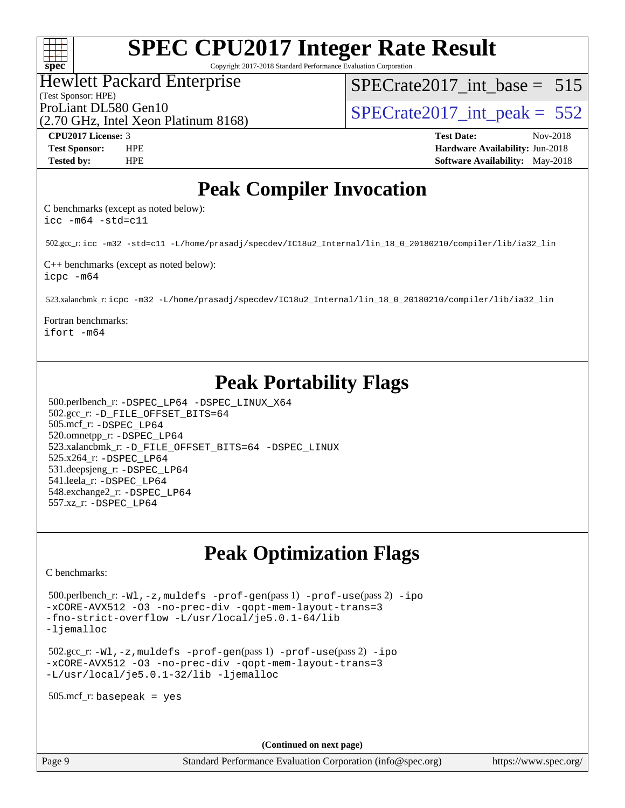#### $+\ +$ **[spec](http://www.spec.org/)**

# **[SPEC CPU2017 Integer Rate Result](http://www.spec.org/auto/cpu2017/Docs/result-fields.html#SPECCPU2017IntegerRateResult)**

Copyright 2017-2018 Standard Performance Evaluation Corporation

#### Hewlett Packard Enterprise

(Test Sponsor: HPE)

[SPECrate2017\\_int\\_base =](http://www.spec.org/auto/cpu2017/Docs/result-fields.html#SPECrate2017intbase) 515

(2.70 GHz, Intel Xeon Platinum 8168)

ProLiant DL580 Gen10<br>  $\langle 2.70 \text{ GHz. Intel Yoon Plotinum } 8168 \rangle$   $\langle$  [SPECrate2017\\_int\\_peak =](http://www.spec.org/auto/cpu2017/Docs/result-fields.html#SPECrate2017intpeak) 552

**[CPU2017 License:](http://www.spec.org/auto/cpu2017/Docs/result-fields.html#CPU2017License)** 3 **[Test Date:](http://www.spec.org/auto/cpu2017/Docs/result-fields.html#TestDate)** Nov-2018 **[Test Sponsor:](http://www.spec.org/auto/cpu2017/Docs/result-fields.html#TestSponsor)** HPE **[Hardware Availability:](http://www.spec.org/auto/cpu2017/Docs/result-fields.html#HardwareAvailability)** Jun-2018 **[Tested by:](http://www.spec.org/auto/cpu2017/Docs/result-fields.html#Testedby)** HPE **[Software Availability:](http://www.spec.org/auto/cpu2017/Docs/result-fields.html#SoftwareAvailability)** May-2018

### **[Peak Compiler Invocation](http://www.spec.org/auto/cpu2017/Docs/result-fields.html#PeakCompilerInvocation)**

[C benchmarks \(except as noted below\)](http://www.spec.org/auto/cpu2017/Docs/result-fields.html#Cbenchmarksexceptasnotedbelow): [icc -m64 -std=c11](http://www.spec.org/cpu2017/results/res2018q4/cpu2017-20181130-10007.flags.html#user_CCpeak_intel_icc_64bit_c11_33ee0cdaae7deeeab2a9725423ba97205ce30f63b9926c2519791662299b76a0318f32ddfffdc46587804de3178b4f9328c46fa7c2b0cd779d7a61945c91cd35)

502.gcc\_r: [icc -m32 -std=c11 -L/home/prasadj/specdev/IC18u2\\_Internal/lin\\_18\\_0\\_20180210/compiler/lib/ia32\\_lin](http://www.spec.org/cpu2017/results/res2018q4/cpu2017-20181130-10007.flags.html#user_peakCCLD502_gcc_r_intel_icc_a481ac844e7127046fad14d498c730a1848fa901fbbb2c3dfdd5e9fbbac777c8009953946d55d8b6afe8ed0da70dd2b4f8dedbdf7ab1ee211ba70d24a5d89f85)

[C++ benchmarks \(except as noted below\):](http://www.spec.org/auto/cpu2017/Docs/result-fields.html#CXXbenchmarksexceptasnotedbelow) [icpc -m64](http://www.spec.org/cpu2017/results/res2018q4/cpu2017-20181130-10007.flags.html#user_CXXpeak_intel_icpc_64bit_4ecb2543ae3f1412ef961e0650ca070fec7b7afdcd6ed48761b84423119d1bf6bdf5cad15b44d48e7256388bc77273b966e5eb805aefd121eb22e9299b2ec9d9)

523.xalancbmk\_r: [icpc -m32 -L/home/prasadj/specdev/IC18u2\\_Internal/lin\\_18\\_0\\_20180210/compiler/lib/ia32\\_lin](http://www.spec.org/cpu2017/results/res2018q4/cpu2017-20181130-10007.flags.html#user_peakCXXLD523_xalancbmk_r_intel_icpc_c6d030cd79af6ea7d6fb64c57e8fe7ae8fe0b96fc5a3b3f4a10e3273b3d7fa9decd8263f6330cef23f751cb093a69fae84a2bf4c243500a8eed069248128076f)

[Fortran benchmarks:](http://www.spec.org/auto/cpu2017/Docs/result-fields.html#Fortranbenchmarks) [ifort -m64](http://www.spec.org/cpu2017/results/res2018q4/cpu2017-20181130-10007.flags.html#user_FCpeak_intel_ifort_64bit_24f2bb282fbaeffd6157abe4f878425411749daecae9a33200eee2bee2fe76f3b89351d69a8130dd5949958ce389cf37ff59a95e7a40d588e8d3a57e0c3fd751)

## **[Peak Portability Flags](http://www.spec.org/auto/cpu2017/Docs/result-fields.html#PeakPortabilityFlags)**

 500.perlbench\_r: [-DSPEC\\_LP64](http://www.spec.org/cpu2017/results/res2018q4/cpu2017-20181130-10007.flags.html#b500.perlbench_r_peakPORTABILITY_DSPEC_LP64) [-DSPEC\\_LINUX\\_X64](http://www.spec.org/cpu2017/results/res2018q4/cpu2017-20181130-10007.flags.html#b500.perlbench_r_peakCPORTABILITY_DSPEC_LINUX_X64) 502.gcc\_r: [-D\\_FILE\\_OFFSET\\_BITS=64](http://www.spec.org/cpu2017/results/res2018q4/cpu2017-20181130-10007.flags.html#user_peakPORTABILITY502_gcc_r_file_offset_bits_64_5ae949a99b284ddf4e95728d47cb0843d81b2eb0e18bdfe74bbf0f61d0b064f4bda2f10ea5eb90e1dcab0e84dbc592acfc5018bc955c18609f94ddb8d550002c) 505.mcf\_r: [-DSPEC\\_LP64](http://www.spec.org/cpu2017/results/res2018q4/cpu2017-20181130-10007.flags.html#suite_peakPORTABILITY505_mcf_r_DSPEC_LP64) 520.omnetpp\_r: [-DSPEC\\_LP64](http://www.spec.org/cpu2017/results/res2018q4/cpu2017-20181130-10007.flags.html#suite_peakPORTABILITY520_omnetpp_r_DSPEC_LP64) 523.xalancbmk\_r: [-D\\_FILE\\_OFFSET\\_BITS=64](http://www.spec.org/cpu2017/results/res2018q4/cpu2017-20181130-10007.flags.html#user_peakPORTABILITY523_xalancbmk_r_file_offset_bits_64_5ae949a99b284ddf4e95728d47cb0843d81b2eb0e18bdfe74bbf0f61d0b064f4bda2f10ea5eb90e1dcab0e84dbc592acfc5018bc955c18609f94ddb8d550002c) [-DSPEC\\_LINUX](http://www.spec.org/cpu2017/results/res2018q4/cpu2017-20181130-10007.flags.html#b523.xalancbmk_r_peakCXXPORTABILITY_DSPEC_LINUX) 525.x264\_r: [-DSPEC\\_LP64](http://www.spec.org/cpu2017/results/res2018q4/cpu2017-20181130-10007.flags.html#suite_peakPORTABILITY525_x264_r_DSPEC_LP64) 531.deepsjeng\_r: [-DSPEC\\_LP64](http://www.spec.org/cpu2017/results/res2018q4/cpu2017-20181130-10007.flags.html#suite_peakPORTABILITY531_deepsjeng_r_DSPEC_LP64) 541.leela\_r: [-DSPEC\\_LP64](http://www.spec.org/cpu2017/results/res2018q4/cpu2017-20181130-10007.flags.html#suite_peakPORTABILITY541_leela_r_DSPEC_LP64) 548.exchange2\_r: [-DSPEC\\_LP64](http://www.spec.org/cpu2017/results/res2018q4/cpu2017-20181130-10007.flags.html#suite_peakPORTABILITY548_exchange2_r_DSPEC_LP64) 557.xz\_r: [-DSPEC\\_LP64](http://www.spec.org/cpu2017/results/res2018q4/cpu2017-20181130-10007.flags.html#suite_peakPORTABILITY557_xz_r_DSPEC_LP64)

## **[Peak Optimization Flags](http://www.spec.org/auto/cpu2017/Docs/result-fields.html#PeakOptimizationFlags)**

[C benchmarks](http://www.spec.org/auto/cpu2017/Docs/result-fields.html#Cbenchmarks):

 500.perlbench\_r: [-Wl,-z,muldefs](http://www.spec.org/cpu2017/results/res2018q4/cpu2017-20181130-10007.flags.html#user_peakEXTRA_LDFLAGS500_perlbench_r_link_force_multiple1_b4cbdb97b34bdee9ceefcfe54f4c8ea74255f0b02a4b23e853cdb0e18eb4525ac79b5a88067c842dd0ee6996c24547a27a4b99331201badda8798ef8a743f577) [-prof-gen](http://www.spec.org/cpu2017/results/res2018q4/cpu2017-20181130-10007.flags.html#user_peakPASS1_CFLAGSPASS1_LDFLAGS500_perlbench_r_prof_gen_5aa4926d6013ddb2a31985c654b3eb18169fc0c6952a63635c234f711e6e63dd76e94ad52365559451ec499a2cdb89e4dc58ba4c67ef54ca681ffbe1461d6b36)(pass 1) [-prof-use](http://www.spec.org/cpu2017/results/res2018q4/cpu2017-20181130-10007.flags.html#user_peakPASS2_CFLAGSPASS2_LDFLAGS500_perlbench_r_prof_use_1a21ceae95f36a2b53c25747139a6c16ca95bd9def2a207b4f0849963b97e94f5260e30a0c64f4bb623698870e679ca08317ef8150905d41bd88c6f78df73f19)(pass 2) [-ipo](http://www.spec.org/cpu2017/results/res2018q4/cpu2017-20181130-10007.flags.html#user_peakPASS1_COPTIMIZEPASS2_COPTIMIZE500_perlbench_r_f-ipo) [-xCORE-AVX512](http://www.spec.org/cpu2017/results/res2018q4/cpu2017-20181130-10007.flags.html#user_peakPASS2_COPTIMIZE500_perlbench_r_f-xCORE-AVX512) [-O3](http://www.spec.org/cpu2017/results/res2018q4/cpu2017-20181130-10007.flags.html#user_peakPASS1_COPTIMIZEPASS2_COPTIMIZE500_perlbench_r_f-O3) [-no-prec-div](http://www.spec.org/cpu2017/results/res2018q4/cpu2017-20181130-10007.flags.html#user_peakPASS1_COPTIMIZEPASS2_COPTIMIZE500_perlbench_r_f-no-prec-div) [-qopt-mem-layout-trans=3](http://www.spec.org/cpu2017/results/res2018q4/cpu2017-20181130-10007.flags.html#user_peakPASS1_COPTIMIZEPASS2_COPTIMIZE500_perlbench_r_f-qopt-mem-layout-trans_de80db37974c74b1f0e20d883f0b675c88c3b01e9d123adea9b28688d64333345fb62bc4a798493513fdb68f60282f9a726aa07f478b2f7113531aecce732043) [-fno-strict-overflow](http://www.spec.org/cpu2017/results/res2018q4/cpu2017-20181130-10007.flags.html#user_peakEXTRA_OPTIMIZE500_perlbench_r_f-fno-strict-overflow) [-L/usr/local/je5.0.1-64/lib](http://www.spec.org/cpu2017/results/res2018q4/cpu2017-20181130-10007.flags.html#user_peakEXTRA_LIBS500_perlbench_r_jemalloc_link_path64_4b10a636b7bce113509b17f3bd0d6226c5fb2346b9178c2d0232c14f04ab830f976640479e5c33dc2bcbbdad86ecfb6634cbbd4418746f06f368b512fced5394) [-ljemalloc](http://www.spec.org/cpu2017/results/res2018q4/cpu2017-20181130-10007.flags.html#user_peakEXTRA_LIBS500_perlbench_r_jemalloc_link_lib_d1249b907c500fa1c0672f44f562e3d0f79738ae9e3c4a9c376d49f265a04b9c99b167ecedbf6711b3085be911c67ff61f150a17b3472be731631ba4d0471706)

 502.gcc\_r: [-Wl,-z,muldefs](http://www.spec.org/cpu2017/results/res2018q4/cpu2017-20181130-10007.flags.html#user_peakEXTRA_LDFLAGS502_gcc_r_link_force_multiple1_b4cbdb97b34bdee9ceefcfe54f4c8ea74255f0b02a4b23e853cdb0e18eb4525ac79b5a88067c842dd0ee6996c24547a27a4b99331201badda8798ef8a743f577) [-prof-gen](http://www.spec.org/cpu2017/results/res2018q4/cpu2017-20181130-10007.flags.html#user_peakPASS1_CFLAGSPASS1_LDFLAGS502_gcc_r_prof_gen_5aa4926d6013ddb2a31985c654b3eb18169fc0c6952a63635c234f711e6e63dd76e94ad52365559451ec499a2cdb89e4dc58ba4c67ef54ca681ffbe1461d6b36)(pass 1) [-prof-use](http://www.spec.org/cpu2017/results/res2018q4/cpu2017-20181130-10007.flags.html#user_peakPASS2_CFLAGSPASS2_LDFLAGS502_gcc_r_prof_use_1a21ceae95f36a2b53c25747139a6c16ca95bd9def2a207b4f0849963b97e94f5260e30a0c64f4bb623698870e679ca08317ef8150905d41bd88c6f78df73f19)(pass 2) [-ipo](http://www.spec.org/cpu2017/results/res2018q4/cpu2017-20181130-10007.flags.html#user_peakPASS1_COPTIMIZEPASS2_COPTIMIZE502_gcc_r_f-ipo) [-xCORE-AVX512](http://www.spec.org/cpu2017/results/res2018q4/cpu2017-20181130-10007.flags.html#user_peakPASS2_COPTIMIZE502_gcc_r_f-xCORE-AVX512) [-O3](http://www.spec.org/cpu2017/results/res2018q4/cpu2017-20181130-10007.flags.html#user_peakPASS1_COPTIMIZEPASS2_COPTIMIZE502_gcc_r_f-O3) [-no-prec-div](http://www.spec.org/cpu2017/results/res2018q4/cpu2017-20181130-10007.flags.html#user_peakPASS1_COPTIMIZEPASS2_COPTIMIZE502_gcc_r_f-no-prec-div) [-qopt-mem-layout-trans=3](http://www.spec.org/cpu2017/results/res2018q4/cpu2017-20181130-10007.flags.html#user_peakPASS1_COPTIMIZEPASS2_COPTIMIZE502_gcc_r_f-qopt-mem-layout-trans_de80db37974c74b1f0e20d883f0b675c88c3b01e9d123adea9b28688d64333345fb62bc4a798493513fdb68f60282f9a726aa07f478b2f7113531aecce732043) [-L/usr/local/je5.0.1-32/lib](http://www.spec.org/cpu2017/results/res2018q4/cpu2017-20181130-10007.flags.html#user_peakEXTRA_LIBS502_gcc_r_jemalloc_link_path32_e29f22e8e6c17053bbc6a0971f5a9c01a601a06bb1a59df2084b77a2fe0a2995b64fd4256feaeea39eeba3aae142e96e2b2b0a28974019c0c0c88139a84f900a) [-ljemalloc](http://www.spec.org/cpu2017/results/res2018q4/cpu2017-20181130-10007.flags.html#user_peakEXTRA_LIBS502_gcc_r_jemalloc_link_lib_d1249b907c500fa1c0672f44f562e3d0f79738ae9e3c4a9c376d49f265a04b9c99b167ecedbf6711b3085be911c67ff61f150a17b3472be731631ba4d0471706)

505.mcf\_r: basepeak = yes

**(Continued on next page)**

Page 9 Standard Performance Evaluation Corporation [\(info@spec.org\)](mailto:info@spec.org) <https://www.spec.org/>